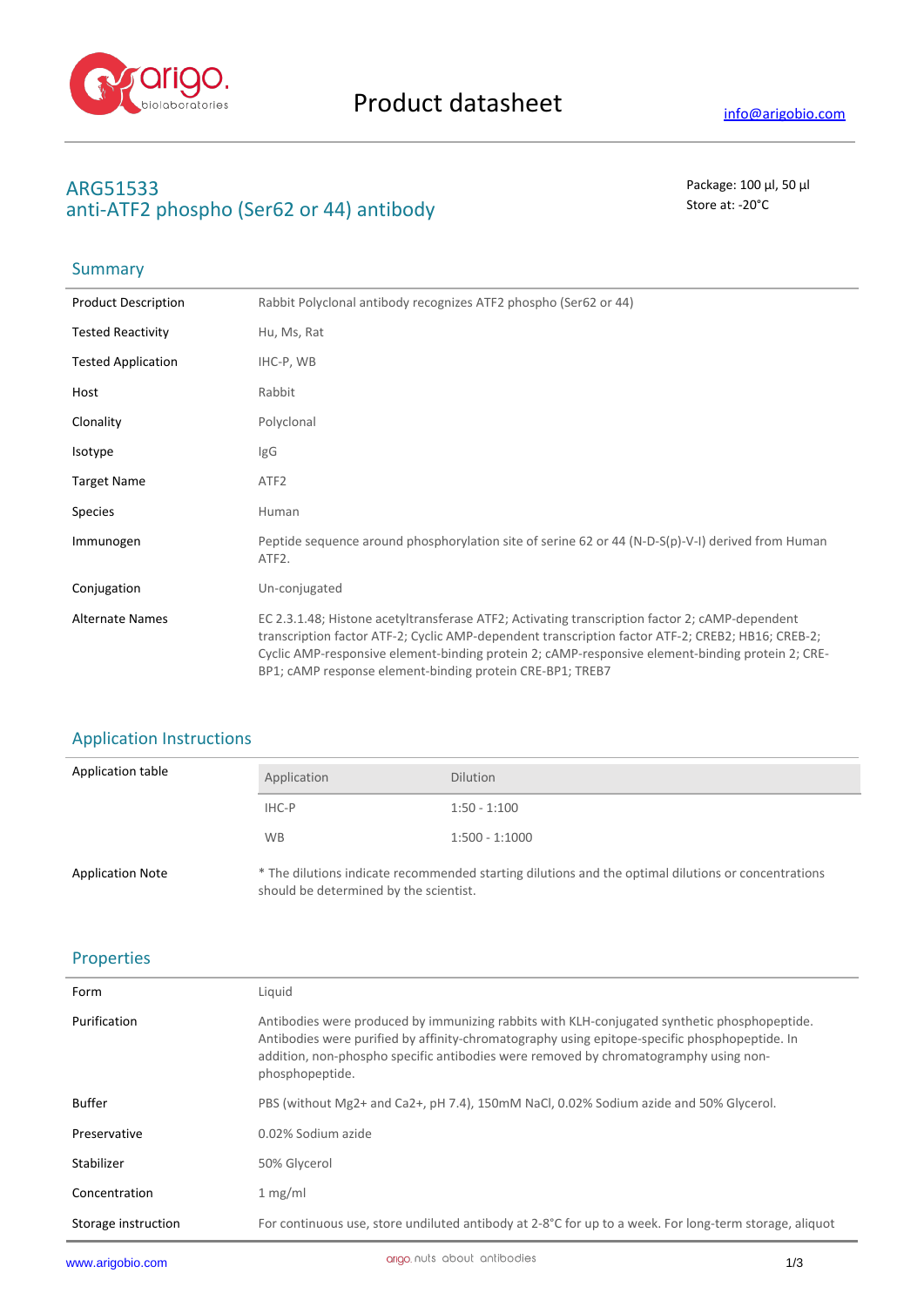

# **ARG51533** Package: 100 μl, 50 μl anti-ATF2 phospho (Ser62 or 44) antibody Store at: -20<sup>°</sup>C

### **Summary**

| <b>Product Description</b> | Rabbit Polyclonal antibody recognizes ATF2 phospho (Ser62 or 44)                                                                                                                                                                                                                                                                                                     |
|----------------------------|----------------------------------------------------------------------------------------------------------------------------------------------------------------------------------------------------------------------------------------------------------------------------------------------------------------------------------------------------------------------|
| <b>Tested Reactivity</b>   | Hu, Ms, Rat                                                                                                                                                                                                                                                                                                                                                          |
| <b>Tested Application</b>  | IHC-P, WB                                                                                                                                                                                                                                                                                                                                                            |
| Host                       | Rabbit                                                                                                                                                                                                                                                                                                                                                               |
| Clonality                  | Polyclonal                                                                                                                                                                                                                                                                                                                                                           |
| Isotype                    | IgG                                                                                                                                                                                                                                                                                                                                                                  |
| <b>Target Name</b>         | ATF <sub>2</sub>                                                                                                                                                                                                                                                                                                                                                     |
| <b>Species</b>             | Human                                                                                                                                                                                                                                                                                                                                                                |
| Immunogen                  | Peptide sequence around phosphorylation site of serine 62 or 44 (N-D-S(p)-V-I) derived from Human<br>ATF2.                                                                                                                                                                                                                                                           |
| Conjugation                | Un-conjugated                                                                                                                                                                                                                                                                                                                                                        |
| <b>Alternate Names</b>     | EC 2.3.1.48; Histone acetyltransferase ATF2; Activating transcription factor 2; cAMP-dependent<br>transcription factor ATF-2; Cyclic AMP-dependent transcription factor ATF-2; CREB2; HB16; CREB-2;<br>Cyclic AMP-responsive element-binding protein 2; cAMP-responsive element-binding protein 2; CRE-<br>BP1; cAMP response element-binding protein CRE-BP1; TREB7 |

## Application Instructions

| Application table       | Application                            | <b>Dilution</b>                                                                                     |
|-------------------------|----------------------------------------|-----------------------------------------------------------------------------------------------------|
|                         | IHC-P                                  | $1:50 - 1:100$                                                                                      |
|                         | <b>WB</b>                              | $1:500 - 1:1000$                                                                                    |
| <b>Application Note</b> | should be determined by the scientist. | * The dilutions indicate recommended starting dilutions and the optimal dilutions or concentrations |

### Properties

| Form                | Liquid                                                                                                                                                                                                                                                                                                   |
|---------------------|----------------------------------------------------------------------------------------------------------------------------------------------------------------------------------------------------------------------------------------------------------------------------------------------------------|
| Purification        | Antibodies were produced by immunizing rabbits with KLH-conjugated synthetic phosphopeptide.<br>Antibodies were purified by affinity-chromatography using epitope-specific phosphopeptide. In<br>addition, non-phospho specific antibodies were removed by chromatogramphy using non-<br>phosphopeptide. |
| <b>Buffer</b>       | PBS (without Mg2+ and Ca2+, pH 7.4), 150mM NaCl, 0.02% Sodium azide and 50% Glycerol.                                                                                                                                                                                                                    |
| Preservative        | 0.02% Sodium azide                                                                                                                                                                                                                                                                                       |
| Stabilizer          | 50% Glycerol                                                                                                                                                                                                                                                                                             |
| Concentration       | 1 mg/ml                                                                                                                                                                                                                                                                                                  |
| Storage instruction | For continuous use, store undiluted antibody at 2-8°C for up to a week. For long-term storage, aliquot                                                                                                                                                                                                   |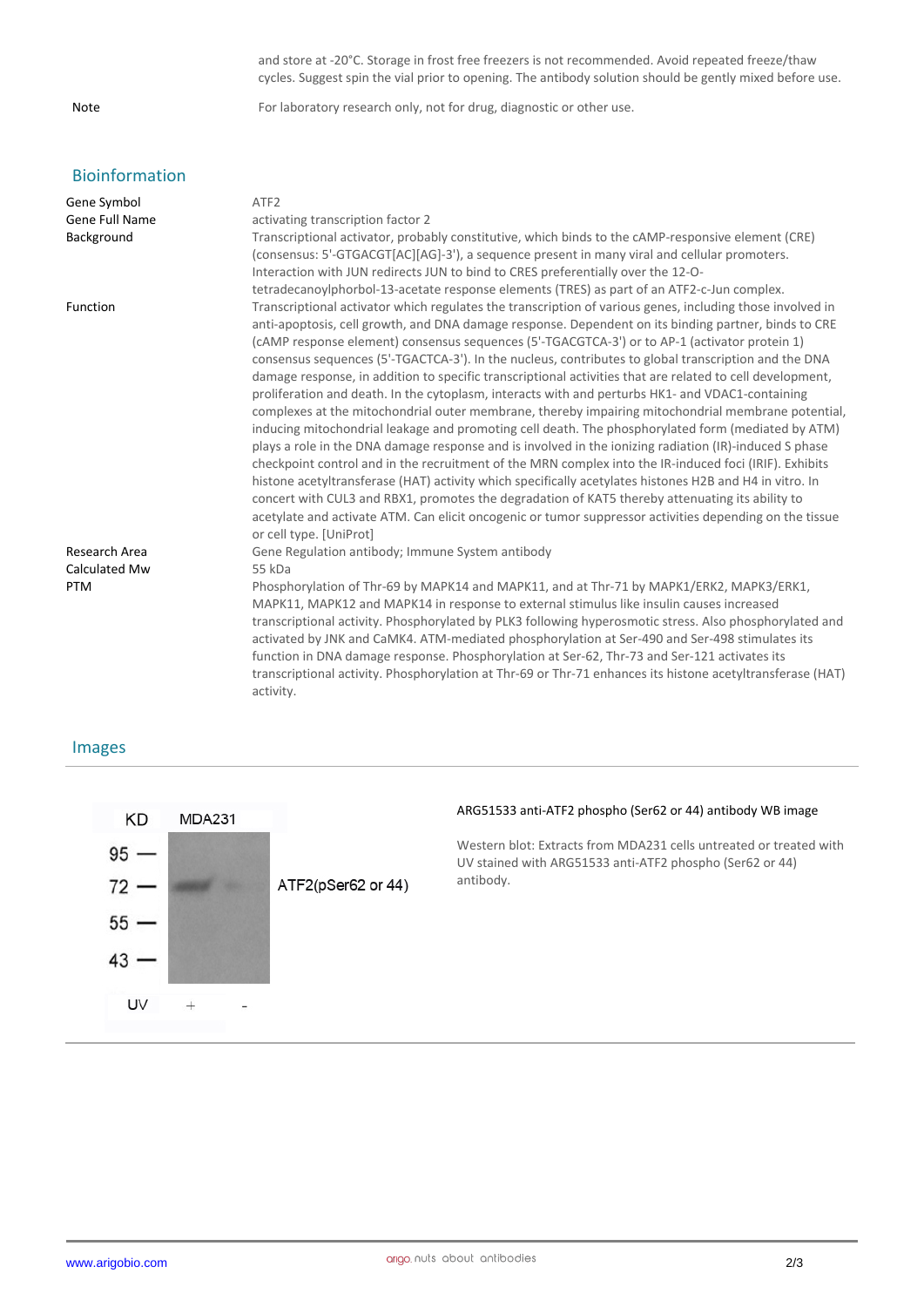### Bioinformation

| Gene Symbol<br><b>Gene Full Name</b><br>Background | ATF <sub>2</sub><br>activating transcription factor 2<br>Transcriptional activator, probably constitutive, which binds to the cAMP-responsive element (CRE)<br>(consensus: 5'-GTGACGT[AC][AG]-3'), a sequence present in many viral and cellular promoters.<br>Interaction with JUN redirects JUN to bind to CRES preferentially over the 12-O-<br>tetradecanoylphorbol-13-acetate response elements (TRES) as part of an ATF2-c-Jun complex.                                                                                                                                                                                                                                                                                                                                                                                                                                                                                                                                                                                                                                                                                                                                                                                                                                                                                                                                                                                   |
|----------------------------------------------------|---------------------------------------------------------------------------------------------------------------------------------------------------------------------------------------------------------------------------------------------------------------------------------------------------------------------------------------------------------------------------------------------------------------------------------------------------------------------------------------------------------------------------------------------------------------------------------------------------------------------------------------------------------------------------------------------------------------------------------------------------------------------------------------------------------------------------------------------------------------------------------------------------------------------------------------------------------------------------------------------------------------------------------------------------------------------------------------------------------------------------------------------------------------------------------------------------------------------------------------------------------------------------------------------------------------------------------------------------------------------------------------------------------------------------------|
| Function                                           | Transcriptional activator which regulates the transcription of various genes, including those involved in<br>anti-apoptosis, cell growth, and DNA damage response. Dependent on its binding partner, binds to CRE<br>(cAMP response element) consensus sequences (5'-TGACGTCA-3') or to AP-1 (activator protein 1)<br>consensus sequences (5'-TGACTCA-3'). In the nucleus, contributes to global transcription and the DNA<br>damage response, in addition to specific transcriptional activities that are related to cell development,<br>proliferation and death. In the cytoplasm, interacts with and perturbs HK1- and VDAC1-containing<br>complexes at the mitochondrial outer membrane, thereby impairing mitochondrial membrane potential,<br>inducing mitochondrial leakage and promoting cell death. The phosphorylated form (mediated by ATM)<br>plays a role in the DNA damage response and is involved in the ionizing radiation (IR)-induced S phase<br>checkpoint control and in the recruitment of the MRN complex into the IR-induced foci (IRIF). Exhibits<br>histone acetyltransferase (HAT) activity which specifically acetylates histones H2B and H4 in vitro. In<br>concert with CUL3 and RBX1, promotes the degradation of KAT5 thereby attenuating its ability to<br>acetylate and activate ATM. Can elicit oncogenic or tumor suppressor activities depending on the tissue<br>or cell type. [UniProt] |
| Research Area                                      | Gene Regulation antibody; Immune System antibody                                                                                                                                                                                                                                                                                                                                                                                                                                                                                                                                                                                                                                                                                                                                                                                                                                                                                                                                                                                                                                                                                                                                                                                                                                                                                                                                                                                |
| Calculated Mw                                      | 55 kDa                                                                                                                                                                                                                                                                                                                                                                                                                                                                                                                                                                                                                                                                                                                                                                                                                                                                                                                                                                                                                                                                                                                                                                                                                                                                                                                                                                                                                          |
| PTM                                                | Phosphorylation of Thr-69 by MAPK14 and MAPK11, and at Thr-71 by MAPK1/ERK2, MAPK3/ERK1,<br>MAPK11, MAPK12 and MAPK14 in response to external stimulus like insulin causes increased<br>transcriptional activity. Phosphorylated by PLK3 following hyperosmotic stress. Also phosphorylated and<br>activated by JNK and CaMK4. ATM-mediated phosphorylation at Ser-490 and Ser-498 stimulates its<br>function in DNA damage response. Phosphorylation at Ser-62, Thr-73 and Ser-121 activates its<br>transcriptional activity. Phosphorylation at Thr-69 or Thr-71 enhances its histone acetyltransferase (HAT)<br>activity.                                                                                                                                                                                                                                                                                                                                                                                                                                                                                                                                                                                                                                                                                                                                                                                                    |

#### Images



and store at -20°C. Storage in frost free freezers is not recommended. Avoid repeated freeze/thaw cycles. Suggest spin the vial prior to opening. The antibody solution should be gently mixed before use.

Note For laboratory research only, not for drug, diagnostic or other use.